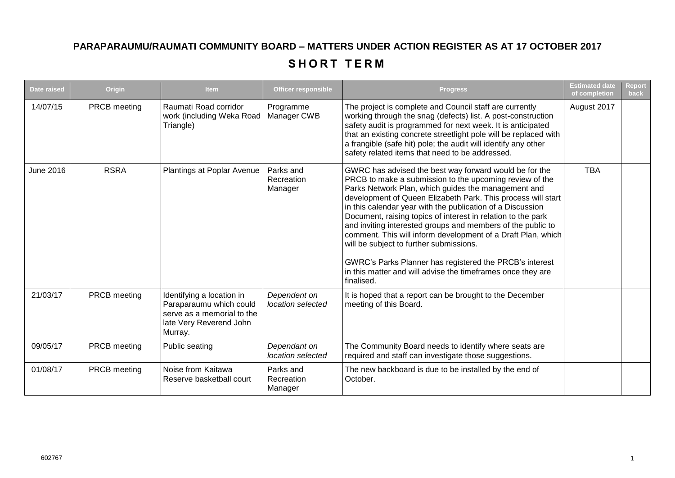## **PARAPARAUMU/RAUMATI COMMUNITY BOARD – MATTERS UNDER ACTION REGISTER AS AT 17 OCTOBER 2017**

## SHORT TERM

| <b>Date raised</b> | Origin       | <b>Item</b>                                                                                                              | <b>Officer responsible</b>         | <b>Progress</b>                                                                                                                                                                                                                                                                                                                                                                                                                                                                                                                                                                                                                                                                          | <b>Estimated date</b><br>of completion | <b>Report</b><br><b>back</b> |
|--------------------|--------------|--------------------------------------------------------------------------------------------------------------------------|------------------------------------|------------------------------------------------------------------------------------------------------------------------------------------------------------------------------------------------------------------------------------------------------------------------------------------------------------------------------------------------------------------------------------------------------------------------------------------------------------------------------------------------------------------------------------------------------------------------------------------------------------------------------------------------------------------------------------------|----------------------------------------|------------------------------|
| 14/07/15           | PRCB meeting | Raumati Road corridor<br>work (including Weka Road<br>Triangle)                                                          | Programme<br>Manager CWB           | The project is complete and Council staff are currently<br>working through the snag (defects) list. A post-construction<br>safety audit is programmed for next week. It is anticipated<br>that an existing concrete streetlight pole will be replaced with<br>a frangible (safe hit) pole; the audit will identify any other<br>safety related items that need to be addressed.                                                                                                                                                                                                                                                                                                          | August 2017                            |                              |
| <b>June 2016</b>   | <b>RSRA</b>  | Plantings at Poplar Avenue                                                                                               | Parks and<br>Recreation<br>Manager | GWRC has advised the best way forward would be for the<br>PRCB to make a submission to the upcoming review of the<br>Parks Network Plan, which guides the management and<br>development of Queen Elizabeth Park. This process will start<br>in this calendar year with the publication of a Discussion<br>Document, raising topics of interest in relation to the park<br>and inviting interested groups and members of the public to<br>comment. This will inform development of a Draft Plan, which<br>will be subject to further submissions.<br>GWRC's Parks Planner has registered the PRCB's interest<br>in this matter and will advise the timeframes once they are<br>finalised. | <b>TBA</b>                             |                              |
| 21/03/17           | PRCB meeting | Identifying a location in<br>Paraparaumu which could<br>serve as a memorial to the<br>late Very Reverend John<br>Murray. | Dependent on<br>location selected  | It is hoped that a report can be brought to the December<br>meeting of this Board.                                                                                                                                                                                                                                                                                                                                                                                                                                                                                                                                                                                                       |                                        |                              |
| 09/05/17           | PRCB meeting | Public seating                                                                                                           | Dependant on<br>location selected  | The Community Board needs to identify where seats are<br>required and staff can investigate those suggestions.                                                                                                                                                                                                                                                                                                                                                                                                                                                                                                                                                                           |                                        |                              |
| 01/08/17           | PRCB meeting | Noise from Kaitawa<br>Reserve basketball court                                                                           | Parks and<br>Recreation<br>Manager | The new backboard is due to be installed by the end of<br>October.                                                                                                                                                                                                                                                                                                                                                                                                                                                                                                                                                                                                                       |                                        |                              |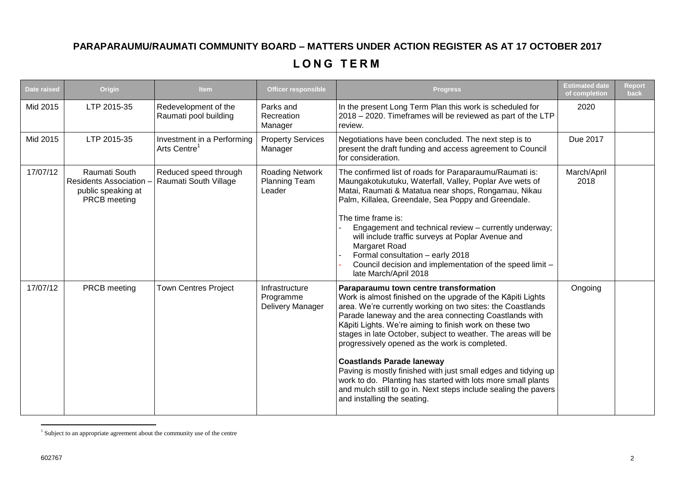## **PARAPARAUMU/RAUMATI COMMUNITY BOARD – MATTERS UNDER ACTION REGISTER AS AT 17 OCTOBER 2017**

## **L O N G T E R M**

| Date raised | Origin                                                                              | <b>Item</b>                                            | <b>Officer responsible</b>                               | <b>Progress</b>                                                                                                                                                                                                                                                                                                                                                                                                                                                                                                                                                                                                                                                                     | <b>Estimated date</b><br>of completion | Report<br>back |
|-------------|-------------------------------------------------------------------------------------|--------------------------------------------------------|----------------------------------------------------------|-------------------------------------------------------------------------------------------------------------------------------------------------------------------------------------------------------------------------------------------------------------------------------------------------------------------------------------------------------------------------------------------------------------------------------------------------------------------------------------------------------------------------------------------------------------------------------------------------------------------------------------------------------------------------------------|----------------------------------------|----------------|
| Mid 2015    | LTP 2015-35                                                                         | Redevelopment of the<br>Raumati pool building          | Parks and<br>Recreation<br>Manager                       | In the present Long Term Plan this work is scheduled for<br>2018 - 2020. Timeframes will be reviewed as part of the LTP<br>review.                                                                                                                                                                                                                                                                                                                                                                                                                                                                                                                                                  | 2020                                   |                |
| Mid 2015    | LTP 2015-35                                                                         | Investment in a Performing<br>Arts Centre <sup>1</sup> | <b>Property Services</b><br>Manager                      | Negotiations have been concluded. The next step is to<br>present the draft funding and access agreement to Council<br>for consideration.                                                                                                                                                                                                                                                                                                                                                                                                                                                                                                                                            | Due 2017                               |                |
| 17/07/12    | Raumati South<br><b>Residents Association</b><br>public speaking at<br>PRCB meeting | Reduced speed through<br>Raumati South Village         | <b>Roading Network</b><br><b>Planning Team</b><br>Leader | The confirmed list of roads for Paraparaumu/Raumati is:<br>Maungakotukutuku, Waterfall, Valley, Poplar Ave wets of<br>Matai, Raumati & Matatua near shops, Rongamau, Nikau<br>Palm, Killalea, Greendale, Sea Poppy and Greendale.<br>The time frame is:<br>Engagement and technical review - currently underway;<br>will include traffic surveys at Poplar Avenue and<br>Margaret Road<br>Formal consultation - early 2018<br>Council decision and implementation of the speed limit -<br>late March/April 2018                                                                                                                                                                     | March/April<br>2018                    |                |
| 17/07/12    | PRCB meeting                                                                        | <b>Town Centres Project</b>                            | Infrastructure<br>Programme<br>Delivery Manager          | Paraparaumu town centre transformation<br>Work is almost finished on the upgrade of the Kāpiti Lights<br>area. We're currently working on two sites: the Coastlands<br>Parade laneway and the area connecting Coastlands with<br>Kāpiti Lights. We're aiming to finish work on these two<br>stages in late October, subject to weather. The areas will be<br>progressively opened as the work is completed.<br><b>Coastlands Parade laneway</b><br>Paving is mostly finished with just small edges and tidying up<br>work to do. Planting has started with lots more small plants<br>and mulch still to go in. Next steps include sealing the pavers<br>and installing the seating. | Ongoing                                |                |

 1 Subject to an appropriate agreement about the community use of the centre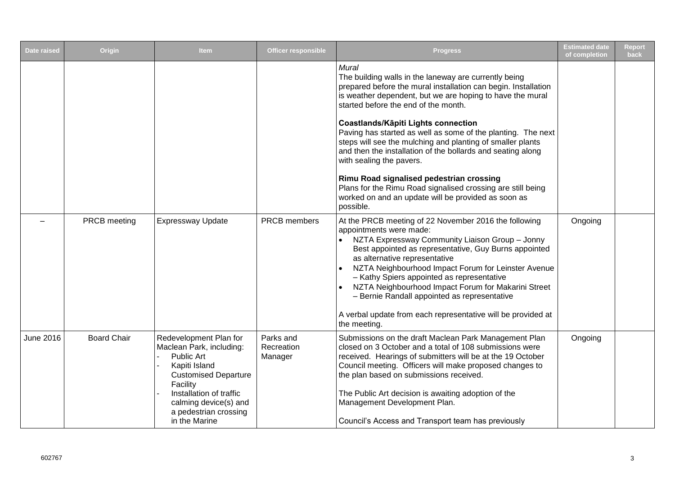| <b>Date raised</b> | Origin             | <b>Item</b>                                                                                                                                                                                                                | <b>Officer responsible</b>         | <b>Progress</b>                                                                                                                                                                                                                                                                                                                                                                                                                                                                                                                                                                                                                                                                      | <b>Estimated date</b><br>of completion | <b>Report</b><br><b>back</b> |
|--------------------|--------------------|----------------------------------------------------------------------------------------------------------------------------------------------------------------------------------------------------------------------------|------------------------------------|--------------------------------------------------------------------------------------------------------------------------------------------------------------------------------------------------------------------------------------------------------------------------------------------------------------------------------------------------------------------------------------------------------------------------------------------------------------------------------------------------------------------------------------------------------------------------------------------------------------------------------------------------------------------------------------|----------------------------------------|------------------------------|
|                    |                    |                                                                                                                                                                                                                            |                                    | Mural<br>The building walls in the laneway are currently being<br>prepared before the mural installation can begin. Installation<br>is weather dependent, but we are hoping to have the mural<br>started before the end of the month.<br>Coastlands/Kāpiti Lights connection<br>Paving has started as well as some of the planting. The next<br>steps will see the mulching and planting of smaller plants<br>and then the installation of the bollards and seating along<br>with sealing the pavers.<br>Rimu Road signalised pedestrian crossing<br>Plans for the Rimu Road signalised crossing are still being<br>worked on and an update will be provided as soon as<br>possible. |                                        |                              |
|                    | PRCB meeting       | <b>Expressway Update</b>                                                                                                                                                                                                   | <b>PRCB</b> members                | At the PRCB meeting of 22 November 2016 the following<br>appointments were made:<br>NZTA Expressway Community Liaison Group - Jonny<br>$\bullet$<br>Best appointed as representative, Guy Burns appointed<br>as alternative representative<br>NZTA Neighbourhood Impact Forum for Leinster Avenue<br>- Kathy Spiers appointed as representative<br>NZTA Neighbourhood Impact Forum for Makarini Street<br>- Bernie Randall appointed as representative<br>A verbal update from each representative will be provided at<br>the meeting.                                                                                                                                               | Ongoing                                |                              |
| <b>June 2016</b>   | <b>Board Chair</b> | Redevelopment Plan for<br>Maclean Park, including:<br>Public Art<br>Kapiti Island<br><b>Customised Departure</b><br>Facility<br>Installation of traffic<br>calming device(s) and<br>a pedestrian crossing<br>in the Marine | Parks and<br>Recreation<br>Manager | Submissions on the draft Maclean Park Management Plan<br>closed on 3 October and a total of 108 submissions were<br>received. Hearings of submitters will be at the 19 October<br>Council meeting. Officers will make proposed changes to<br>the plan based on submissions received.<br>The Public Art decision is awaiting adoption of the<br>Management Development Plan.<br>Council's Access and Transport team has previously                                                                                                                                                                                                                                                    | Ongoing                                |                              |